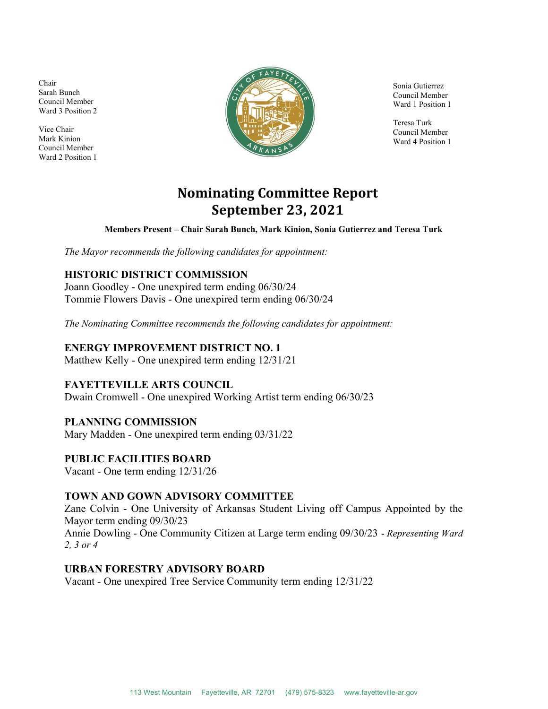Chair Sarah Bunch Council Member Ward 3 Position 2

Vice Chair Mark Kinion Council Member Ward 2 Position 1



Sonia Gutierrez Council Member Ward 1 Position 1

Teresa Turk Council Member Ward 4 Position 1

# Nominating Committee Report September 23, 2021

Members Present – Chair Sarah Bunch, Mark Kinion, Sonia Gutierrez and Teresa Turk

The Mayor recommends the following candidates for appointment:

# HISTORIC DISTRICT COMMISSION

Joann Goodley - One unexpired term ending 06/30/24 Tommie Flowers Davis - One unexpired term ending 06/30/24

The Nominating Committee recommends the following candidates for appointment:

#### ENERGY IMPROVEMENT DISTRICT NO. 1

Matthew Kelly - One unexpired term ending 12/31/21

## FAYETTEVILLE ARTS COUNCIL

Dwain Cromwell - One unexpired Working Artist term ending 06/30/23

#### PLANNING COMMISSION

Mary Madden - One unexpired term ending 03/31/22

#### PUBLIC FACILITIES BOARD

Vacant - One term ending 12/31/26

#### TOWN AND GOWN ADVISORY COMMITTEE

Zane Colvin - One University of Arkansas Student Living off Campus Appointed by the Mayor term ending 09/30/23 Annie Dowling - One Community Citizen at Large term ending 09/30/23 - Representing Ward 2, 3 or 4

#### URBAN FORESTRY ADVISORY BOARD

Vacant - One unexpired Tree Service Community term ending 12/31/22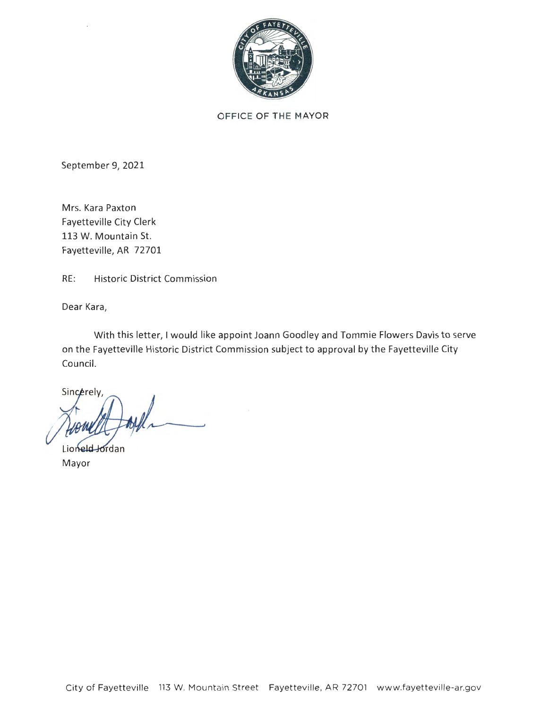

OFFICE OF THE MAYOR

September 9, 2021

Mrs. Kara Paxton Fayetteville City Clerk 113 W. Mountain St. Fayetteville, AR 72701

RE: Historic District Commission

Dear Kara,

With this letter, I would like appoint Joann Goodley and Tommie Flowers Davis to serve on the Fayetteville Historic District Commission subject to approval by the Fayetteville City Council.

Sincerely,

Lioneld Jordan Mayor